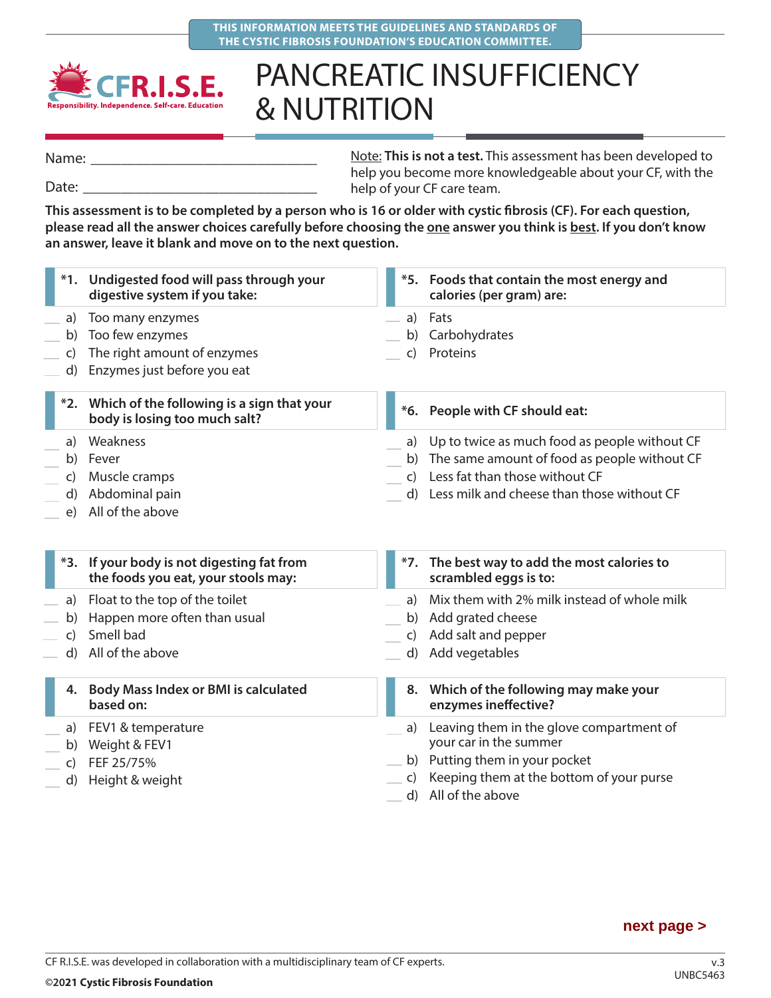



## PANCREATIC INSUFFICIENCY & NUTRITION

Name:

Date:

Note: **This is not a test.** This assessment has been developed to help you become more knowledgeable about your CF, with the help of your CF care team.

**This assessment is to be completed by a person who is 16 or older with cystic fibrosis (CF). For each question, please read all the answer choices carefully before choosing the one answer you think is best. If you don't know an answer, leave it blank and move on to the next question.**

|                      | *1. Undigested food will pass through your<br>digestive system if you take:                       |                                | *5. Foods that contain the most energy and<br>calories (per gram) are:                                                                                                           |
|----------------------|---------------------------------------------------------------------------------------------------|--------------------------------|----------------------------------------------------------------------------------------------------------------------------------------------------------------------------------|
| a)<br>b)<br>C)<br>d) | Too many enzymes<br>Too few enzymes<br>The right amount of enzymes<br>Enzymes just before you eat | a)<br>b)<br>$\mathsf{C}$       | Fats<br>Carbohydrates<br>Proteins                                                                                                                                                |
|                      | *2. Which of the following is a sign that your<br>body is losing too much salt?                   | $*6.$                          | People with CF should eat:                                                                                                                                                       |
| a)<br>C)<br>d)<br>e) | Weakness<br>b) Fever<br>Muscle cramps<br>Abdominal pain<br>All of the above                       | a)<br>b)<br>$\mathsf{C}$       | Up to twice as much food as people without CF<br>The same amount of food as people without CF<br>Less fat than those without CF<br>d) Less milk and cheese than those without CF |
|                      | *3. If your body is not digesting fat from<br>the foods you eat, your stools may:                 |                                | *7. The best way to add the most calories to<br>scrambled eggs is to:                                                                                                            |
| a)<br>b)<br>C)<br>d) | Float to the top of the toilet<br>Happen more often than usual<br>Smell bad<br>All of the above   | a)<br>b)<br>C)<br>$\mathsf{d}$ | Mix them with 2% milk instead of whole milk<br>Add grated cheese<br>Add salt and pepper<br>Add vegetables                                                                        |
|                      | 4. Body Mass Index or BMI is calculated<br>based on:                                              |                                | 8. Which of the following may make your<br>enzymes ineffective?                                                                                                                  |
| b)<br>C)<br>d)       | a) FEV1 & temperature<br>Weight & FEV1<br>FEF 25/75%<br>Height & weight                           | a)<br>b)<br>$\mathsf{C}$       | Leaving them in the glove compartment of<br>your car in the summer<br>Putting them in your pocket<br>Keeping them at the bottom of your purse                                    |